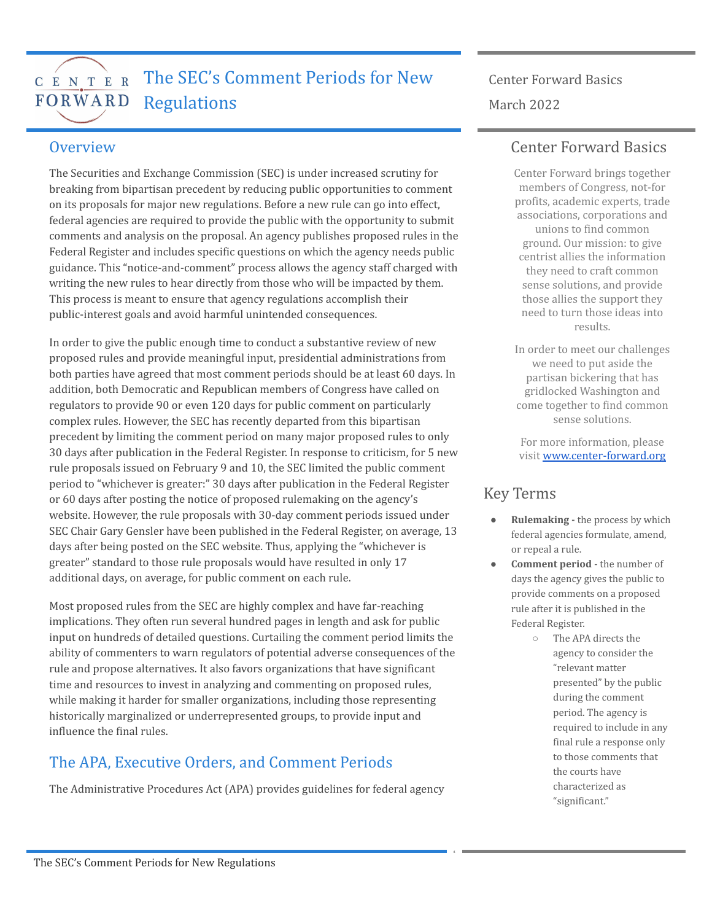#### The SEC's Comment Periods for New C E N T E R FORWARD Regulations

# Center Forward Basics March 2022

#### **Overview**

The Securities and Exchange Commission (SEC) is under increased scrutiny for breaking from bipartisan precedent by reducing public opportunities to comment on its proposals for major new regulations. Before a new rule can go into effect, federal agencies are required to provide the public with the opportunity to submit comments and analysis on the proposal. An agency publishes proposed rules in the Federal Register and includes specific questions on which the agency needs public guidance. This "notice-and-comment" process allows the agency staff charged with writing the new rules to hear directly from those who will be impacted by them. This process is meant to ensure that agency regulations accomplish their public-interest goals and avoid harmful unintended consequences.

In order to give the public enough time to conduct a substantive review of new proposed rules and provide meaningful input, presidential administrations from both parties have agreed that most comment periods should be at least 60 days. In addition, both Democratic and Republican members of Congress have called on regulators to provide 90 or even 120 days for public comment on particularly complex rules. However, the SEC has recently departed from this bipartisan precedent by limiting the comment period on many major proposed rules to only 30 days after publication in the Federal Register. In response to criticism, for 5 new rule proposals issued on February 9 and 10, the SEC limited the public comment period to "whichever is greater:" 30 days after publication in the Federal Register or 60 days after posting the notice of proposed rulemaking on the agency's website. However, the rule proposals with 30-day comment periods issued under SEC Chair Gary Gensler have been published in the Federal Register, on average, 13 days after being posted on the SEC website. Thus, applying the "whichever is greater" standard to those rule proposals would have resulted in only 17 additional days, on average, for public comment on each rule.

Most proposed rules from the SEC are highly complex and have far-reaching implications. They often run several hundred pages in length and ask for public input on hundreds of detailed questions. Curtailing the comment period limits the ability of commenters to warn regulators of potential adverse consequences of the rule and propose alternatives. It also favors organizations that have significant time and resources to invest in analyzing and commenting on proposed rules, while making it harder for smaller organizations, including those representing historically marginalized or underrepresented groups, to provide input and influence the final rules.

## The APA, Executive Orders, and Comment Periods

The Administrative Procedures Act (APA) provides guidelines for federal agency

#### Center Forward Basics

Center Forward brings together members of Congress, not-for profits, academic experts, trade associations, corporations and unions to find common ground. Our mission: to give centrist allies the information they need to craft common sense solutions, and provide those allies the support they need to turn those ideas into results.

In order to meet our challenges we need to put aside the partisan bickering that has gridlocked Washington and come together to find common sense solutions.

For more information, please visit [www.center-forward.org](http://www.center-forward.org)

## Key Terms

- **Rulemaking -** the process by which federal agencies formulate, amend, or repeal a rule.
- **Comment period** the number of days the agency gives the public to provide comments on a proposed rule after it is published in the Federal Register.
	- The APA directs the agency to consider the "relevant matter presented" by the public during the comment period. The agency is required to include in any final rule a response only to those comments that the courts have characterized as "significant."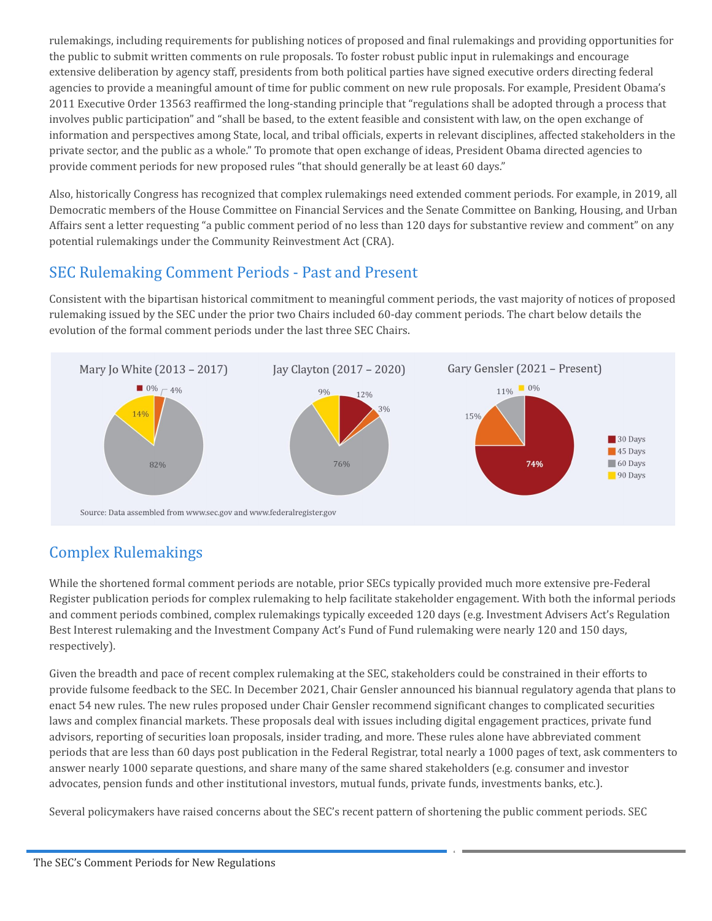rulemakings, including requirements for publishing notices of proposed and final rulemakings and providing opportunities for the public to submit written comments on rule proposals. To foster robust public input in rulemakings and encourage extensive deliberation by agency staff, presidents from both political parties have signed executive orders directing federal agencies to provide a meaningful amount of time for public comment on new rule proposals. For example, President Obama's 2011 Executive Order 13563 reaffirmed the long-standing principle that "regulations shall be adopted through a process that involves public participation" and "shall be based, to the extent feasible and consistent with law, on the open exchange of information and perspectives among State, local, and tribal officials, experts in relevant disciplines, affected stakeholders in the private sector, and the public as a whole." To promote that open exchange of ideas, President Obama directed agencies to provide comment periods for new proposed rules "that should generally be at least 60 days."

Also, historically Congress has recognized that complex rulemakings need extended comment periods. For example, in 2019, all Democratic members of the House Committee on Financial Services and the Senate Committee on Banking, Housing, and Urban Affairs sent a letter requesting "a public comment period of no less than 120 days for substantive review and comment" on any potential rulemakings under the Community Reinvestment Act (CRA).

## SEC Rulemaking Comment Periods - Past and Present

Consistent with the bipartisan historical commitment to meaningful comment periods, the vast majority of notices of proposed rulemaking issued by the SEC under the prior two Chairs included 60-day comment periods. The chart below details the evolution of the formal comment periods under the last three SEC Chairs.



## Complex Rulemakings

While the shortened formal comment periods are notable, prior SECs typically provided much more extensive pre-Federal Register publication periods for complex rulemaking to help facilitate stakeholder engagement. With both the informal periods and comment periods combined, complex rulemakings typically exceeded 120 days (e.g. Investment Advisers Act's Regulation Best Interest rulemaking and the Investment Company Act's Fund of Fund rulemaking were nearly 120 and 150 days, respectively).

Given the breadth and pace of recent complex rulemaking at the SEC, stakeholders could be constrained in their efforts to provide fulsome feedback to the SEC. In December 2021, Chair Gensler announced his biannual regulatory agenda that plans to enact 54 new rules. The new rules proposed under Chair Gensler recommend significant changes to complicated securities laws and complex financial markets. These proposals deal with issues including digital engagement practices, private fund advisors, reporting of securities loan proposals, insider trading, and more. These rules alone have abbreviated comment periods that are less than 60 days post publication in the Federal Registrar, total nearly a 1000 pages of text, ask commenters to answer nearly 1000 separate questions, and share many of the same shared stakeholders (e.g. consumer and investor advocates, pension funds and other institutional investors, mutual funds, private funds, investments banks, etc.).

Several policymakers have raised concerns about the SEC's recent pattern of shortening the public comment periods. SEC